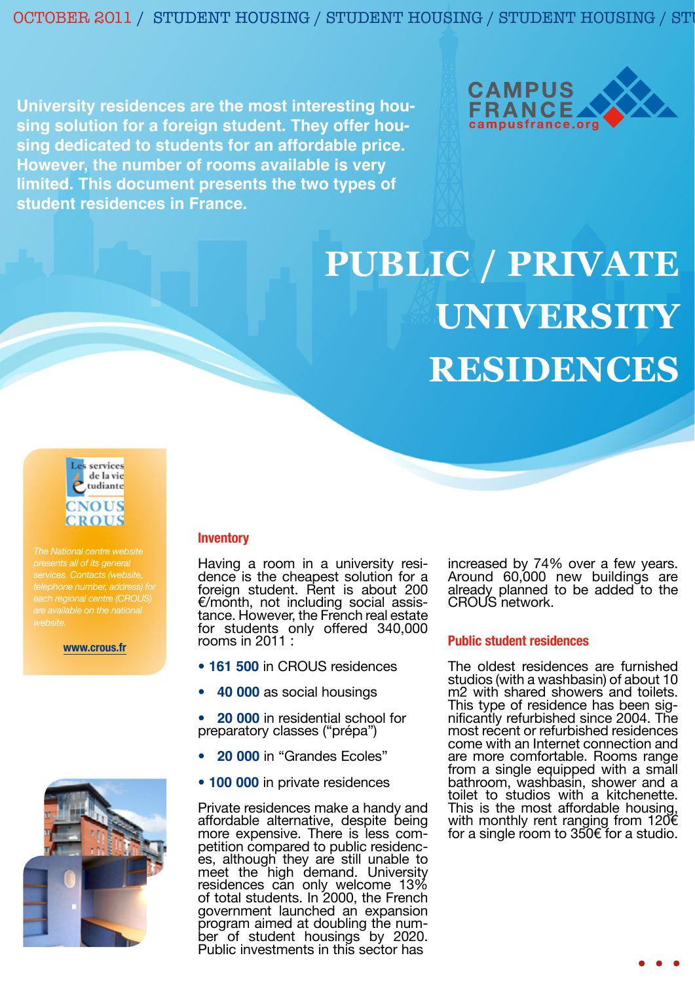OCTOBER 2011 / STUDENT HOUSING / STUDENT HOUSING / STUDENT HOUSING / ST

**University residences are the most interesting housing solution for a foreign student. They offer housing dedicated to students for an affordable price. However, the number of rooms available is very limited. This document presents the two types of student residences in France.**



# **PUBLIC / PRIVATE UNIVERSITY RESIDENCES**



*presents all of its general telephone number, address) for are available on the national* 

#### **www.crous.fr**



#### **Inventory**

Having a room in a university resi- dence is the cheapest solution for a foreign student. Rent is about 200 €/month, not including social assis- tance. However, the French real estate for students only offered 340,000 rooms in 2011 :

- **161 500** in CROUS residences
- **40 000** as social housings

• **20 000** in residential school for preparatory classes ("prépa")

- **20 000** in "Grandes Ecoles"
- **100 000** in private residences

Private residences make a handy and affordable alternative, despite being more expensive. There is less com-<br>petition compared to public residenc-<br>es, although they are still unable to meet the high demand. University residences can only welcome 13% of total students. In 2000, the French government launched an expansion program aimed at doubling the num- ber of student housings by 2020. Public investments in this sector has

increased by 74% over a few years. Around 60,000 new buildings are already planned to be added to the CROUS network.

### **Public student residences**

The oldest residences are furnished studios (with a washbasin) of about 10 m<sub>2</sub> with shared showers and toilets. This type of residence has been sig- nificantly refurbished since 2004. The most recent or refurbished residences come with an Internet connection and are more comfortable. Rooms range from a single equipped with a small bathroom, washbasin, shower and a toilet to studios with a kitchenette. This is the most affordable housing, with monthly rent ranging from 120€ for a single room to 350€ for a studio.